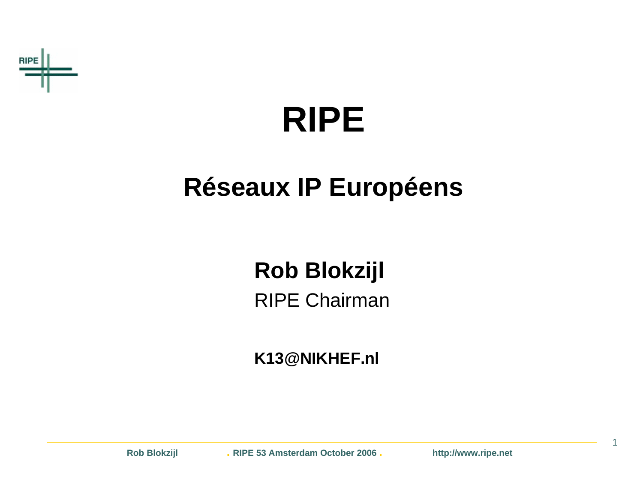

### **RIPE**

### **Réseaux IP Européens**

### **Rob Blokzijl**

RIPE Chairman

**K13@NIKHEF.nl**

**Rob Blokzijl . RIPE 53 Amsterdam October 2006 . http://www.ripe.net**

1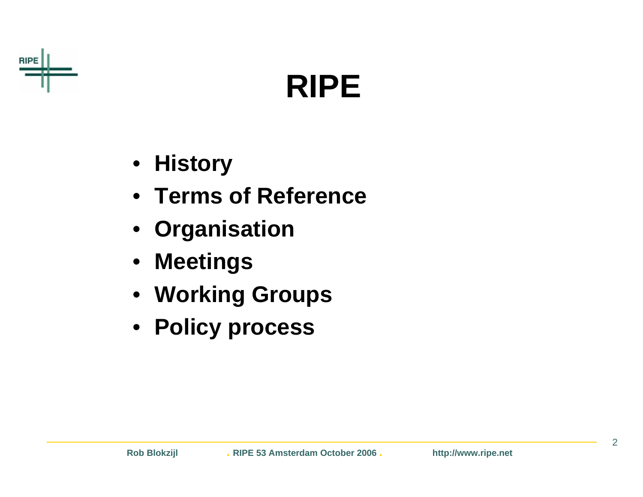

### **RIPE**

- **History**
- **Terms of Reference**
- **Organisation**
- **Meetings**
- **Working Groups**
- **Policy process**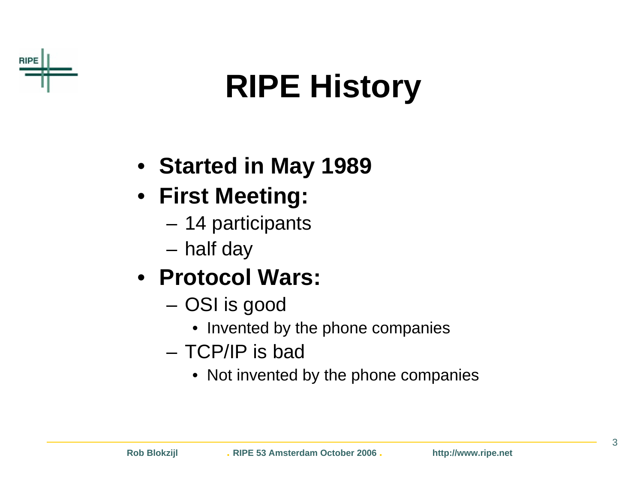

## **RIPE History**

- **Started in May 1989**
- **First Meeting:**
	- 14 participants
	- half day
- **Protocol Wars:**
	- OSI is good
		- Invented by the phone companies
	- TCP/IP is bad
		- Not invented by the phone companies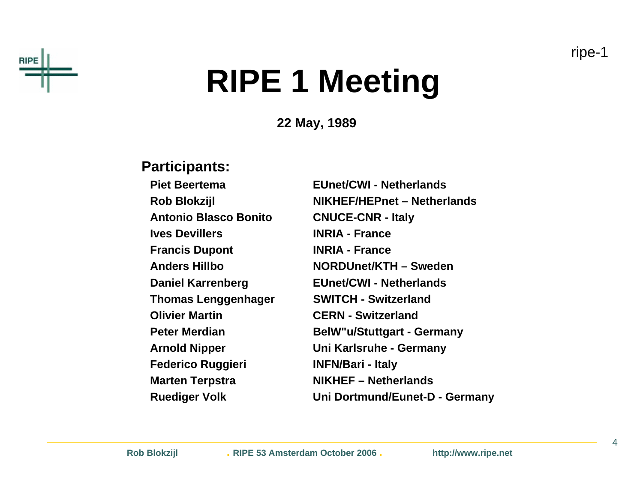



### **RIPE 1 Meeting**

**22 May, 1989**

#### **Participants:**

**Piet BeertemaAntonio Blasco Bonito CNUCE-CNR - Italy Ives DevillersFrancis Dupont INRIA - France Anders HillboThomas Lenggenhager SWITCH - Switzerland Olivier Martin CERN - SwitzerlandPeter MerdianFederico Ruggieri INFN/Bari - Italy Marten Terpstra NIKHEF – Netherlands**

 **EUnet/CWI - Netherlands Rob Blokzijl NIKHEF/HEPnet – Netherlands INRIA - France NORDUnet/KTH – Sweden Daniel Karrenberg EUnet/CWI - Netherlands BelW"u/Stuttgart - Germany Arnold Nipper Uni Karlsruhe - Germany Ruediger Volk Uni Dortmund/Eunet-D - Germany**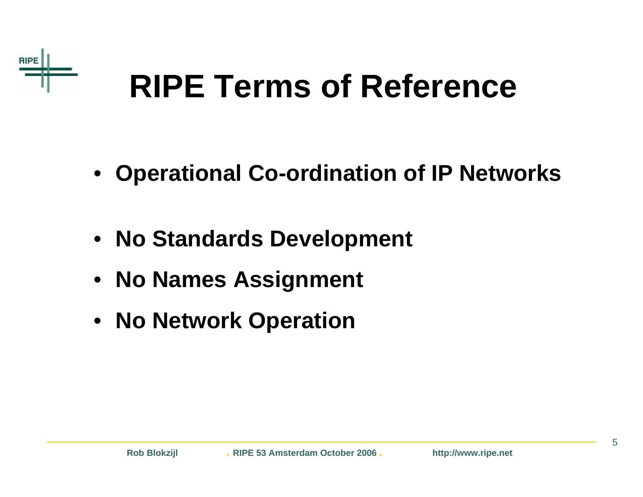

### **RIPE Terms of Reference**

- **Operational Co-ordination of IP Networks**
- **No Standards Development**
- **No Names Assignment**
- **No Network Operation**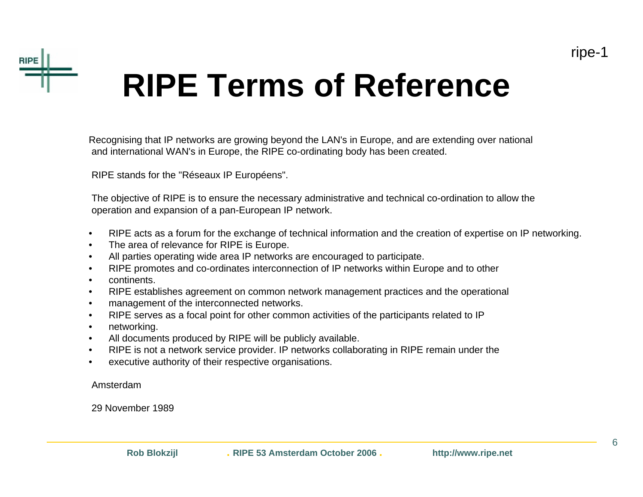



### **RIPE Terms of Reference**

Recognising that IP networks are growing beyond the LAN's in Europe, and are extending over national and international WAN's in Europe, the RIPE co-ordinating body has been created.

RIPE stands for the "Réseaux IP Européens".

The objective of RIPE is to ensure the necessary administrative and technical co-ordination to allow the operation and expansion of a pan-European IP network.

- •RIPE acts as a forum for the exchange of technical information and the creation of expertise on IP networking.
- •The area of relevance for RIPE is Europe.
- •All parties operating wide area IP networks are encouraged to participate.
- •RIPE promotes and co-ordinates interconnection of IP networks within Europe and to other
- •continents.
- •RIPE establishes agreement on common network management practices and the operational
- •management of the interconnected networks.
- •RIPE serves as a focal point for other common activities of the participants related to IP
- •networking.
- •All documents produced by RIPE will be publicly available.
- •RIPE is not a network service provider. IP networks collaborating in RIPE remain under the
- •executive authority of their respective organisations.

Amsterdam

29 November 1989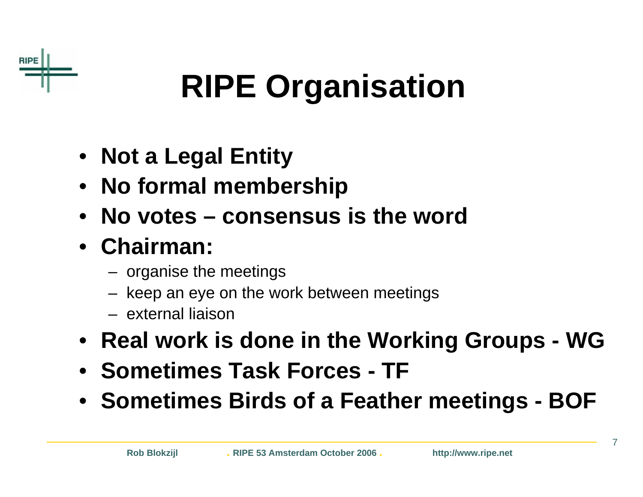

## **RIPE Organisation**

- **Not a Legal Entity**
- **No formal membership**
- **No votes – consensus is the word**
- **Chairman:**
	- organise the meetings
	- keep an eye on the work between meetings
	- external liaison
- **Real work is done in the Working Groups - WG**
- **Sometimes Task Forces - TF**
- **Sometimes Birds of a Feather meetings - BOF**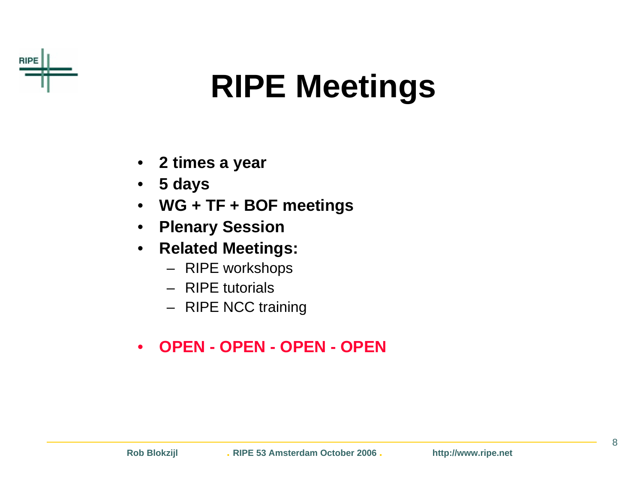

## **RIPE Meetings**

- $\bullet$ **2 times a year**
- •**5 days**
- •**WG + TF + BOF meetings**
- $\bullet$ **Plenary Session**
- • **Related Meetings:**
	- RIPE workshops
	- RIPE tutorials
	- RIPE NCC training
- •**OPEN - OPEN - OPEN - OPEN**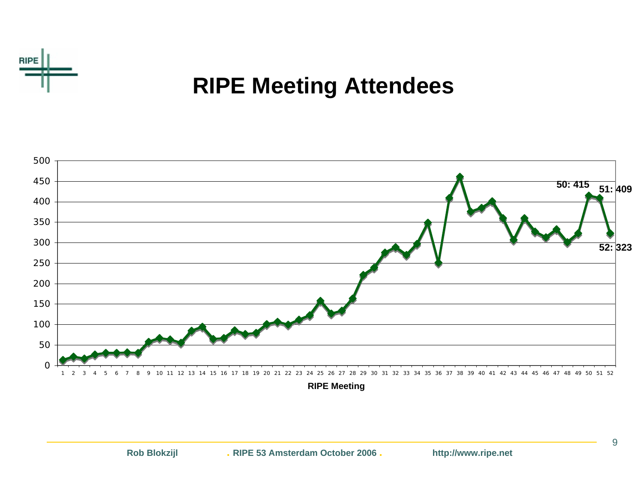

#### **RIPE Meeting Attendees**



**RIPE Meeting**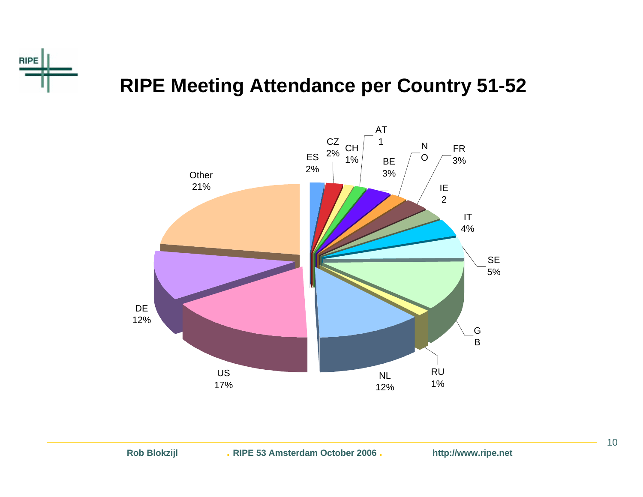

#### **RIPE Meeting Attendance per Country 51-52**

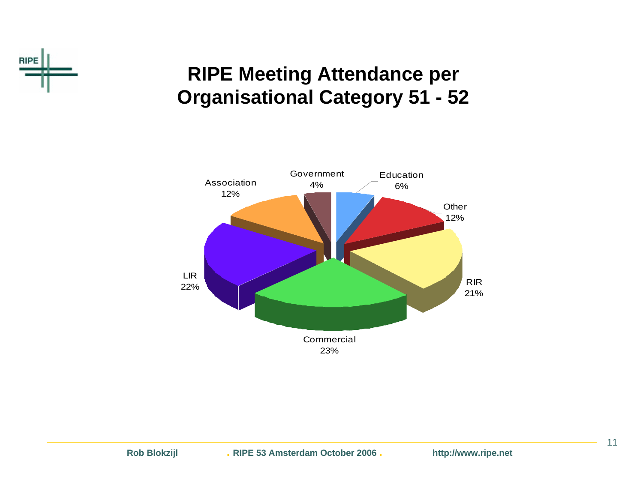

#### **RIPE Meeting Attendance per Organisational Category 51 - 52**



11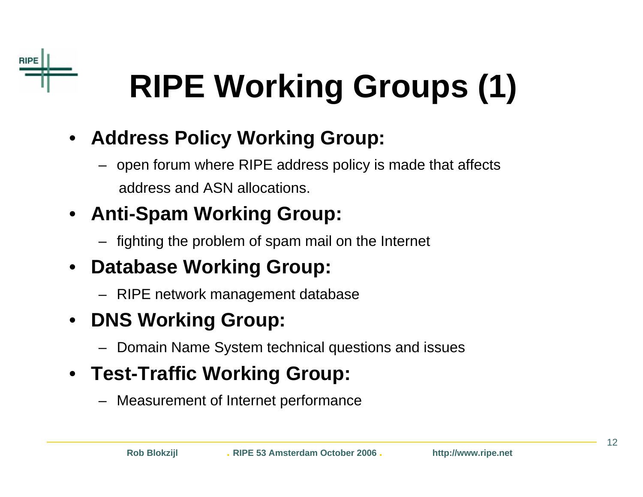

## **RIPE Working Groups (1)**

- **Address Policy Working Group:**
	- open forum where RIPE address policy is made that affects address and ASN allocations.
- **Anti-Spam Working Group:**
	- fighting the problem of spam mail on the Internet
- $\bullet$  **Database Working Group:**
	- RIPE network management database
- $\bullet$  **DNS Working Group:**
	- Domain Name System technical questions and issues
- **Test-Traffic Working Group:**
	- Measurement of Internet performance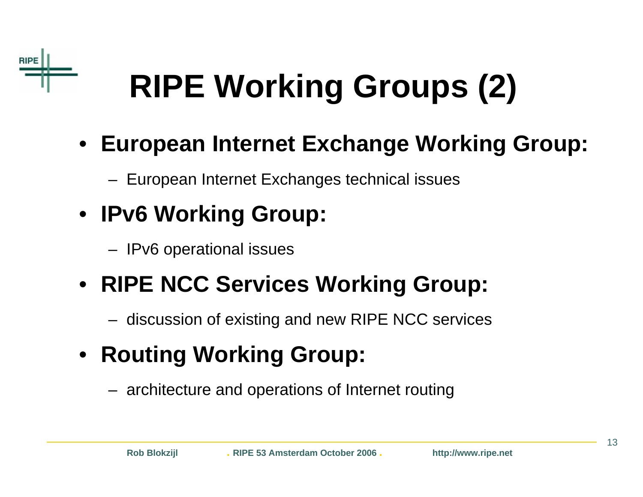

# **RIPE Working Groups (2)**

- **European Internet Exchange Working Group:**
	- European Internet Exchanges technical issues
- **IPv6 Working Group:**
	- IPv6 operational issues

### • **RIPE NCC Services Working Group:**

- discussion of existing and new RIPE NCC services
- **Routing Working Group:**
	- architecture and operations of Internet routing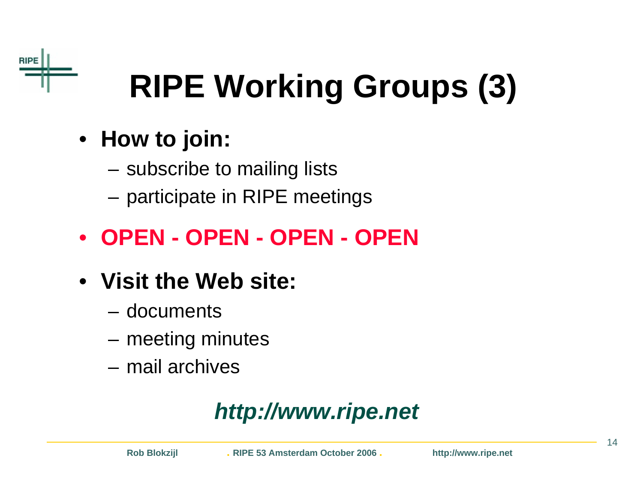

# **RIPE Working Groups (3)**

- **How to join:**
	- –subscribe to mailing lists
	- –participate in RIPE meetings
- **OPEN - OPEN - OPEN - OPEN**
- **Visit the Web site:**
	- documents
	- meeting minutes
	- mail archives

### *http://www.ripe.net*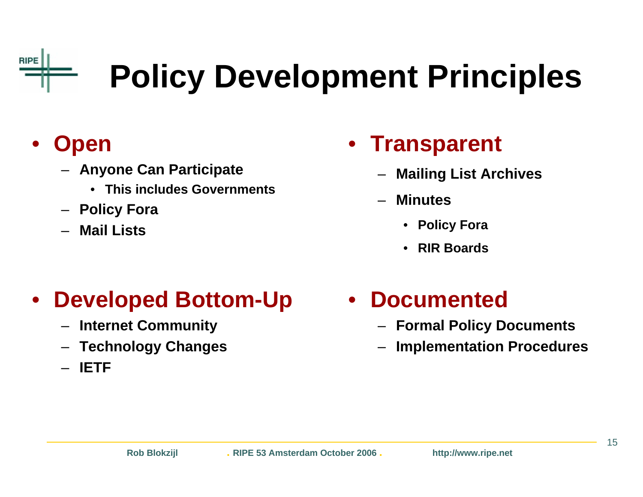## **Policy Development Principles**

#### $\bullet$ **Open**

**RIPE** 

- **Anyone Can Participate**
	- **This includes Governments**
- **Policy Fora**
- –**Mail Lists**

### • **Transparent**

- **Mailing List Archives**
- – **Minutes**
	- **Policy Fora**
	- •**RIR Boards**

#### $\bullet$ **Developed Bottom-Up**

- –**Internet Community**
- **Technology Changes**
- **IETF**

### • **Documented**

- **Formal Policy Documents**
- **Implementation Procedures**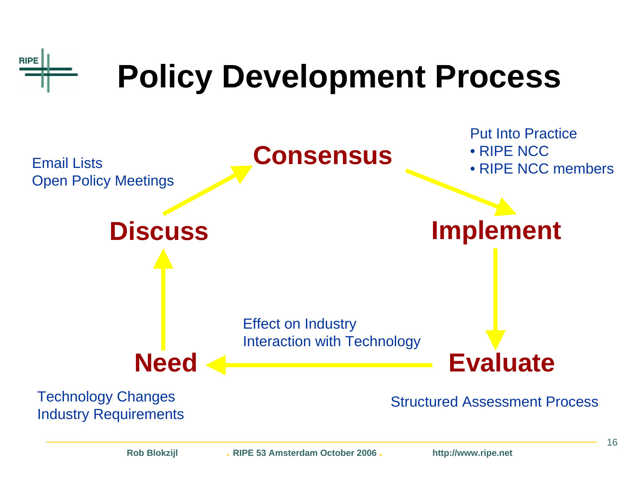

**Rob Blokzijl . RIPE 53 Amsterdam October 2006 . http://www.ripe.net**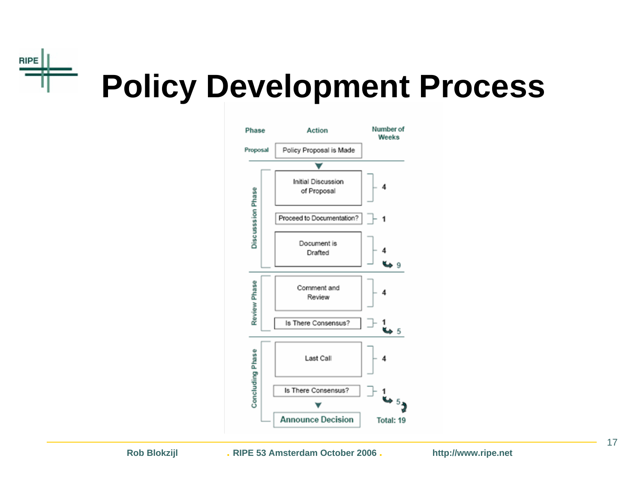#### **RIPE** an i **Policy Development Process**



**Rob Blokzijl . RIPE 53 Amsterdam October 2006 . http://www.ripe.net**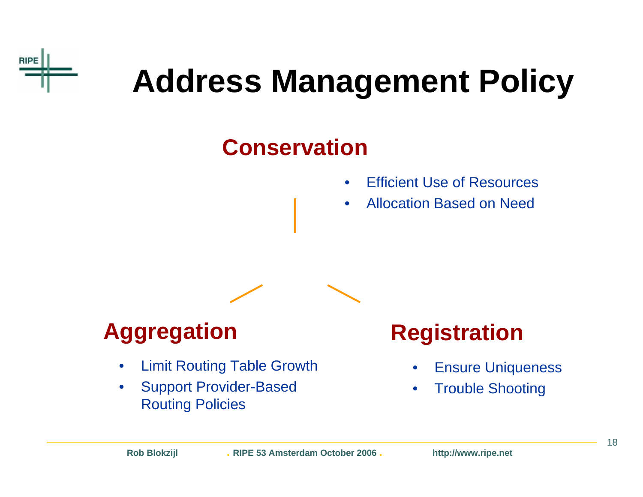

### **Address Management Policy**

### **Conservation**

- $\bullet$ Efficient Use of Resources
- •Allocation Based on Need



### **Aggregation Registration**

- $\bullet$ Limit Routing Table Growth
- $\bullet$  Support Provider-Based Routing Policies

- •Ensure Uniqueness
- $\bullet$ Trouble Shooting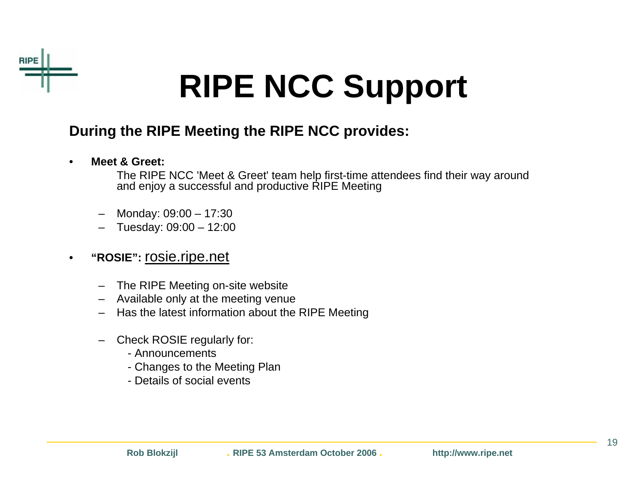

## **RIPE NCC Support**

#### **During the RIPE Meeting the RIPE NCC provides:**

•**Meet & Greet:**

> The RIPE NCC 'Meet & Greet' team help first-time attendees find their way around and enjoy a successful and productive RIPE Meeting

- Monday: 09:00 17:30
- Tuesday: 09:00 12:00
- • **"ROSIE":** rosie.ripe.net
	- The RIPE Meeting on-site website
	- –Available only at the meeting venue
	- Has the latest information about the RIPE Meeting
	- – Check ROSIE regularly for:
		- Announcements
		- Changes to the Meeting Plan
		- Details of social events